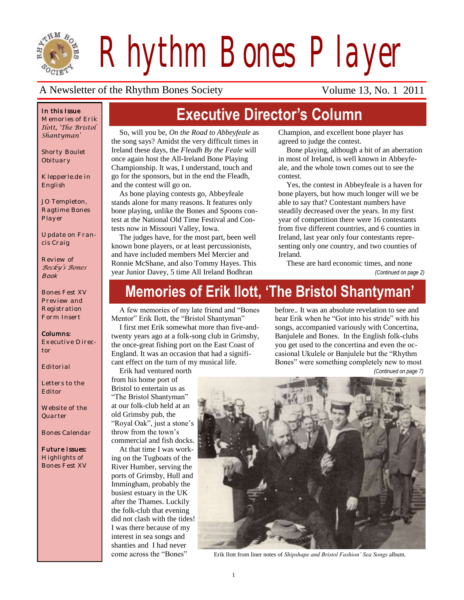

*Rhythm Bones Player*

**Executive Director's Column**

#### A Newsletter of the Rhythm Bones Society Volume 13, No. 1 2011

#### *In this Issue*

*Memories of Erik Ilott, 'The Bristol Shantyman'*

*Shorty Boulet Obituary*

*Klepperle.de in English*

*JO Templeton, Ragtime Bones Player*

*Update on Francis Craig*

*Review of Becky's Bones Book*

*Bones Fest XV Preview and Registration Form Insert*

#### *Columns:*

*Executive Director*

*Editorial*

*Letters to the Editor*

*Website of the Quarter*

*Bones Calendar*

*Future Issues: Highlights of Bones Fest XV*

So, will you be, *On the Road to Abbeyfeale* as the song says? Amidst the very difficult times in Ireland these days, the *Fleadh By the Feale* will once again host the All-Ireland Bone Playing Championship. It was, I understand, touch and go for the sponsors, but in the end the Fleadh, and the contest will go on.

As bone playing contests go, Abbeyfeale stands alone for many reasons. It features only bone playing, unlike the Bones and Spoons contest at the National Old Time Festival and Contests now in Missouri Valley, Iowa.

The judges have, for the most part, been well known bone players, or at least percussionists, and have included members Mel Mercier and Ronnie McShane, and also Tommy Hayes. This year Junior Davey, 5 time All Ireland Bodhran

Champion, and excellent bone player has agreed to judge the contest.

Bone playing, although a bit of an aberration in most of Ireland, is well known in Abbeyfeale, and the whole town comes out to see the contest.

Yes, the contest in Abbeyfeale is a haven for bone players, but how much longer will we be able to say that? Contestant numbers have steadily decreased over the years. In my first year of competition there were 16 contestants from five different countries, and 6 counties in Ireland, last year only four contestants representing only one country, and two counties of Ireland.

These are hard economic times, and none *(Continued on page 2)*

# **Memories of Erik Ilott, 'The Bristol Shantyman'**

A few memories of my late friend and "Bones" Mentor" Erik Ilott, the "Bristol Shantyman"

I first met Erik somewhat more than five-andtwenty years ago at a folk-song club in Grimsby, the once-great fishing port on the East Coast of England. It was an occasion that had a significant effect on the turn of my musical life.

Erik had ventured north

from his home port of Bristol to entertain us as "The Bristol Shantyman" at our folk-club held at an old Grimsby pub, the "Royal Oak", just a stone's throw from the town's commercial and fish docks.

At that time I was working on the Tugboats of the River Humber, serving the ports of Grimsby, Hull and Immingham, probably the busiest estuary in the UK after the Thames. Luckily the folk-club that evening did not clash with the tides! I was there because of my interest in sea songs and shanties and I had never come across the "Bones"

hear Erik when he "Got into his stride" with his songs, accompanied variously with Concertina, Banjulele and Bones. In the English folk-clubs you get used to the concertina and even the occasional Ukulele or Banjulele but the "Rhythm" Bones" were something completely new to most *(Continued on page 7)*

before.. It was an absolute revelation to see and



Erik Ilott from liner notes of *Shipshape and Bristol Fashion' Sea Songs* album.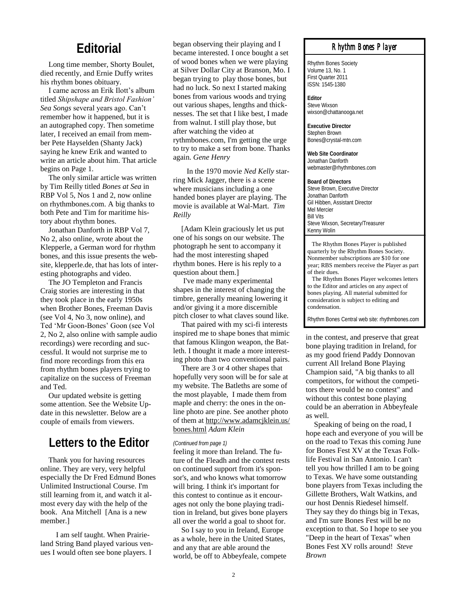### **Editorial**

Long time member, Shorty Boulet, died recently, and Ernie Duffy writes his rhythm bones obituary.

I came across an Erik Ilott's album titled *Shipshape and Bristol Fashion' Sea Songs* several years ago. Can't remember how it happened, but it is an autographed copy. Then sometime later, I received an email from member Pete Hayselden (Shanty Jack) saying he knew Erik and wanted to write an article about him. That article begins on Page 1.

The only similar article was written by Tim Reilly titled *Bones at Sea* in RBP Vol 5, Nos 1 and 2, now online on rhythmbones.com. A big thanks to both Pete and Tim for maritime history about rhythm bones.

Jonathan Danforth in RBP Vol 7, No 2, also online, wrote about the Klepperle, a German word for rhythm bones, and this issue presents the website, klepperle.de, that has lots of interesting photographs and video.

The JO Templeton and Francis Craig stories are interesting in that they took place in the early 1950s when Brother Bones, Freeman Davis (see Vol 4, No 3, now online), and Ted 'Mr Goon-Bones' Goon (see Vol 2, No 2, also online with sample audio recordings) were recording and successful. It would not surprise me to find more recordings from this era from rhythm bones players trying to capitalize on the success of Freeman and Ted.

Our updated website is getting some attention. See the Website Update in this newsletter. Below are a couple of emails from viewers.

#### **Letters to the Editor**

Thank you for having resources online. They are very, very helpful especially the Dr Fred Edmund Bones Unlimited Instructional Course. I'm still learning from it, and watch it almost every day with the help of the book. Ana Mitchell [Ana is a new member.]

I am self taught. When Prairieland String Band played various venues I would often see bone players. I

began observing their playing and I became interested. I once bought a set of wood bones when we were playing at Silver Dollar City at Branson, Mo. I began trying to play those bones, but had no luck. So next I started making bones from various woods and trying out various shapes, lengths and thicknesses. The set that I like best, I made from walnut. I still play those, but after watching the video at rythmbones.com, I'm getting the urge to try to make a set from bone. Thanks again. *Gene Henry*

In the 1970 movie *Ned Kelly* starring Mick Jagger, there is a scene where musicians including a one handed bones player are playing. The movie is available at Wal-Mart. *Tim Reilly*

[Adam Klein graciously let us put one of his songs on our website. The photograph he sent to accompany it had the most interesting shaped rhythm bones. Here is his reply to a question about them.]

I've made many experimental shapes in the interest of changing the timbre, generally meaning lowering it and/or giving it a more discernible pitch closer to what claves sound like.

That paired with my sci-fi interests inspired me to shape bones that mimic that famous Klingon weapon, the Batleth. I thought it made a more interesting photo than two conventional pairs.

There are 3 or 4 other shapes that hopefully very soon will be for sale at my website. The Batleths are some of the most playable, I made them from maple and cherry: the ones in the online photo are pine. See another photo of them at [http://www.adamcjklein.us/](http://www.adamcjklein.us/bones.html) [bones.html](http://www.adamcjklein.us/bones.html) *Adam Klein*

#### *(Continued from page 1)*

feeling it more than Ireland. The future of the Fleadh and the contest rests on continued support from it's sponsor's, and who knows what tomorrow will bring. I think it's important for this contest to continue as it encourages not only the bone playing tradition in Ireland, but gives bone players all over the world a goal to shoot for.

So I say to you in Ireland, Europe as a whole, here in the United States, and any that are able around the world, be off to Abbeyfeale, compete

#### *Rhythm Bones Player*

Rhythm Bones Society Volume 13, No. 1 First Quarter 2011 ISSN: 1545-1380

**Editor** Steve Wixson wixson@chattanooga.net

**Executive Director** Stephen Brown Bones@crystal-mtn.com

**Web Site Coordinator** Jonathan Danforth webmaster@rhythmbones.com

**Board of Directors** Steve Brown, Executive Director Jonathan Danforth Gil Hibben, Assistant Director Mel Mercier Bill Vits Steve Wixson, Secretary/Treasurer Kenny Wolin

 The Rhythm Bones Player is published quarterly by the Rhythm Bones Society. Nonmember subscriptions are \$10 for one year; RBS members receive the Player as part of their dues.

 The Rhythm Bones Player welcomes letters to the Editor and articles on any aspect of bones playing. All material submitted for consideration is subject to editing and condensation.

Rhythm Bones Central web site: rhythmbones.com

in the contest, and preserve that great bone playing tradition in Ireland, for as my good friend Paddy Donnovan current All Ireland Bone Playing Champion said, "A big thanks to all competitors, for without the competitors there would be no contest" and without this contest bone playing could be an aberration in Abbeyfeale as well.

Speaking of being on the road, I hope each and everyone of you will be on the road to Texas this coming June for Bones Fest XV at the Texas Folklife Festival in San Antonio. I can't tell you how thrilled I am to be going to Texas. We have some outstanding bone players from Texas including the Gillette Brothers, Walt Watkins, and our host Dennis Riedesel himself. They say they do things big in Texas, and I'm sure Bones Fest will be no exception to that. So I hope to see you "Deep in the heart of Texas" when Bones Fest XV rolls around! *Steve Brown*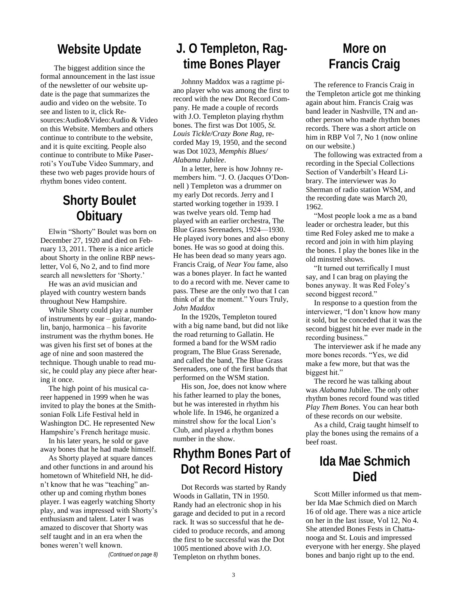#### **Website Update**

The biggest addition since the formal announcement in the last issue of the newsletter of our website update is the page that summarizes the audio and video on the website. To see and listen to it, click Resources:Audio&Video:Audio & Video on this Website. Members and others continue to contribute to the website, and it is quite exciting. People also continue to contribute to Mike Paserroti's YouTube Video Summary, and these two web pages provide hours of rhythm bones video content.

### **Shorty Boulet Obituary**

Elwin "Shorty" Boulet was born on December 27, 1920 and died on February 13, 2011. There is a nice article about Shorty in the online RBP newsletter, Vol 6, No 2, and to find more search all newsletters for 'Shorty.'

He was an avid musician and played with country western bands throughout New Hampshire.

While Shorty could play a number of instruments by ear – guitar, mandolin, banjo, harmonica – his favorite instrument was the rhythm bones. He was given his first set of bones at the age of nine and soon mastered the technique. Though unable to read music, he could play any piece after hearing it once.

The high point of his musical career happened in 1999 when he was invited to play the bones at the Smithsonian Folk Life Festival held in Washington DC. He represented New Hampshire's French heritage music.

In his later years, he sold or gave away bones that he had made himself.

As Shorty played at square dances and other functions in and around his hometown of Whitefield NH, he didn't know that he was "teaching" another up and coming rhythm bones player. I was eagerly watching Shorty play, and was impressed with Shorty's enthusiasm and talent. Later I was amazed to discover that Shorty was self taught and in an era when the bones weren't well known.

*(Continued on page 8)*

# **J. O Templeton, Ragtime Bones Player**

Johnny Maddox was a ragtime piano player who was among the first to record with the new Dot Record Company. He made a couple of records with J.O. Templeton playing rhythm bones. The first was Dot 1005, *St. Louis Tickle/Crazy Bone Rag*, recorded May 19, 1950, and the second was Dot 1023, *Memphis Blues/ Alabama Jubilee*.

In a letter, here is how Johnny remembers him. "J. O. (Jacques O'Donnell ) Templeton was a drummer on my early Dot records. Jerry and I started working together in 1939. I was twelve years old. Temp had played with an earlier orchestra, The Blue Grass Serenaders, 1924—1930. He played ivory bones and also ebony bones. He was so good at doing this. He has been dead so many years ago. Francis Craig, of *Near You* fame, also was a bones player. In fact he wanted to do a record with me. Never came to pass. These are the only two that I can think of at the moment." Yours Truly, *John Maddox*

In the 1920s, Templeton toured with a big name band, but did not like the road returning to Gallatin. He formed a band for the WSM radio program, The Blue Grass Serenade, and called the band, The Blue Grass Serenaders, one of the first bands that performed on the WSM station.

His son, Joe, does not know where his father learned to play the bones, but he was interested in rhythm his whole life. In 1946, he organized a minstrel show for the local Lion's Club, and played a rhythm bones number in the show.

# **Rhythm Bones Part of Dot Record History**

Dot Records was started by Randy Woods in Gallatin, TN in 1950. Randy had an electronic shop in his garage and decided to put in a record rack. It was so successful that he decided to produce records, and among the first to be successful was the Dot 1005 mentioned above with J.O. Templeton on rhythm bones.

## **More on Francis Craig**

The reference to Francis Craig in the Templeton article got me thinking again about him. Francis Craig was band leader in Nashville, TN and another person who made rhythm bones records. There was a short article on him in RBP Vol 7, No 1 (now online on our website.)

The following was extracted from a recording in the Special Collections Section of Vanderbilt's Heard Library. The interviewer was Jo Sherman of radio station WSM, and the recording date was March 20, 1962.

―Most people look a me as a band leader or orchestra leader, but this time Red Foley asked me to make a record and join in with him playing the bones. I play the bones like in the old minstrel shows.

"It turned out terrifically I must say, and I can brag on playing the bones anyway. It was Red Foley's second biggest record."

In response to a question from the interviewer, "I don't know how many it sold, but he conceded that it was the second biggest hit he ever made in the recording business."

The interviewer ask if he made any more bones records. "Yes, we did make a few more, but that was the biggest hit."

The record he was talking about was *Alabama* Jubilee. The only other rhythm bones record found was titled *Play Them Bones.* You can hear both of these records on our website.

As a child, Craig taught himself to play the bones using the remains of a beef roast.

### **Ida Mae Schmich Died**

Scott Miller informed us that member Ida Mae Schmich died on March 16 of old age. There was a nice article on her in the last issue, Vol 12, No 4. She attended Bones Fests in Chattanooga and St. Louis and impressed everyone with her energy. She played bones and banjo right up to the end.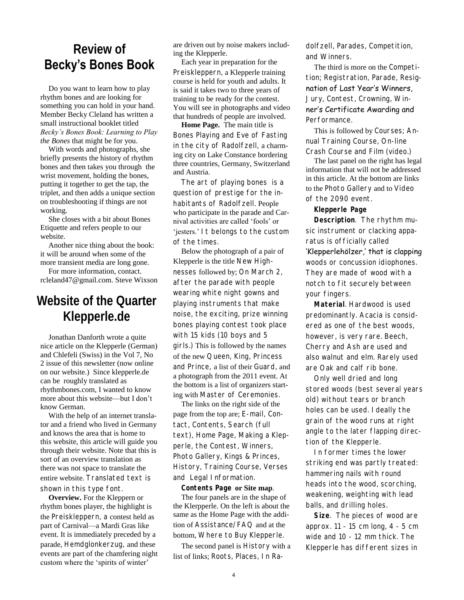### **Review of Becky's Bones Book**

Do you want to learn how to play rhythm bones and are looking for something you can hold in your hand. Member Becky Cleland has written a small instructional booklet titled *Becky's Bones Book: Learning to Play the Bones* that might be for you.

With words and photographs, she briefly presents the history of rhythm bones and then takes you through the wrist movement, holding the bones, putting it together to get the tap, the triplet, and then adds a unique section on troubleshooting if things are not working.

She closes with a bit about Bones Etiquette and refers people to our website.

Another nice thing about the book: it will be around when some of the more transient media are long gone.

For more information, contact. rcleland47@gmail.com. Steve Wixson

## **Website of the Quarter Klepperle.de**

Jonathan Danforth wrote a quite nice article on the Klepperle (German) and Chlefeli (Swiss) in the Vol 7, No 2 issue of this newsletter (now online on our website.) Since klepperle.de can be roughly translated as rhythmbones.com, I wanted to know more about this website—but I don't know German.

With the help of an internet translator and a friend who lived in Germany and knows the area that is home to this website, this article will guide you through their website. Note that this is sort of an overview translation as there was not space to translate the entire website. Translated text is shown in this type font.

**Overview.** For the Kleppern or rhythm bones player, the highlight is the Preiskleppern, a contest held as part of Carnival—a Mardi Gras like event. It is immediately preceded by a parade, Hemdglonkerzug, and these events are part of the chamfering night custom where the 'spirits of winter'

are driven out by noise makers including the Klepperle.

Each year in preparation for the Preiskleppern, a Klepperle training course is held for youth and adults. It is said it takes two to three years of training to be ready for the contest. You will see in photographs and video that hundreds of people are involved.

**Home Page.** The main title is Bones Playing and Eve of Fasting in the city of Radolfzell, a charming city on Lake Constance bordering three countries, Germany, Switzerland and Austria.

The art of playing bones is a question of prestige for the inhabitants of Radolfzell. People who participate in the parade and Carnival activities are called 'fools' or 'jesters.' It belongs to the custom of the times.

Below the photograph of a pair of Klepperle is the title New Highnesses followed by; On March 2, after the parade with people wearing white night gowns and playing instruments that make noise, the exciting, prize winning bones playing contest took place with 15 kids (10 boys and 5 girls.) This is followed by the names of the new Queen, King, Princess and Prince, a list of their Guard, and a photograph from the 2011 event. At the bottom is a list of organizers starting with Master of Ceremonies.

The links on the right side of the page from the top are; E-mail, Contact, Contents, Search (full text), Home Page, Making a Klepperle, the Contest, Winners, Photo Gallery, Kings & Princes, History, Training Course, Verses and Legal Information.

**Contents Page or Site map**. The four panels are in the shape of the Klerpperle. On the left is about the same as the Home Page with the addition of Assistance/FAQ and at the bottom, Where to Buy Klepperle.

The second panel is History with a list of links; Roots, Places, In Radolfzell, Parades, Competition, and Winners.

The third is more on the Competition; Registration, Parade, Resignation of Last Year's Winners, Jury, Contest, Crowning, Winner's Certificate Awarding and Performance.

This is followed by Courses; Annual Training Course, On-line Crash Course and Film (video.)

The last panel on the right has legal information that will not be addressed in this article. At the bottom are links to the Photo Gallery and to Video of the 2090 event.

**Klepperle Page**

**Description**. The rhythm music instrument or clacking apparatus is officially called 'Klepperlehölzer,' that is clapping woods or concussion idiophones. They are made of wood with a notch to fit securely between your fingers.

**Material**. Hardwood is used predominantly. Acacia is considered as one of the best woods, however, is very rare. Beech, Cherry and Ash are used and also walnut and elm. Rarely used are Oak and calf rib bone.

Only well dried and long stored woods (best several years old) without tears or branch holes can be used. Ideally the grain of the wood runs at right angle to the later flapping direction of the Klepperle.

In former times the lower striking end was partly treated: hammering nails with round heads into the wood, scorching, weakening, weighting with lead balls, and drilling holes.

**Size**. The pieces of wood are approx. 11 - 15 cm long, 4 - 5 cm wide and 10 - 12 mm thick. The Klepperle has different sizes in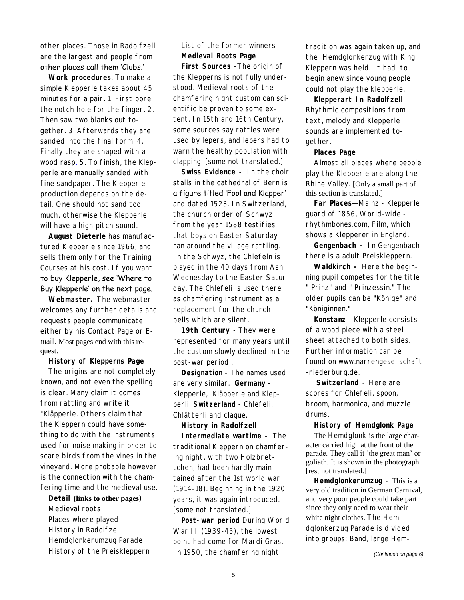other places. Those in Radolfzell are the largest and people from other places call them 'Clubs.'

**Work procedures**. To make a simple Klepperle takes about 45 minutes for a pair. 1. First bore the notch hole for the finger. 2. Then saw two blanks out together. 3. Afterwards they are sanded into the final form. 4. Finally they are shaped with a wood rasp. 5. To finish, the Klepperle are manually sanded with fine sandpaper. The Klepperle production depends on the detail. One should not sand too much, otherwise the Klepperle will have a high pitch sound.

**August Dieterle** has manufactured Klepperle since 1966, and sells them only for the Training Courses at his cost. If you want to buy Klepperle, see 'Where to Buy Klepperle' on the next page.

**Webmaster.** The webmaster welcomes any further details and requests people communicate either by his Contact Page or Email. Most pages end with this request.

**History of Klepperns Page**

The origins are not completely known, and not even the spelling is clear. Many claim it comes from rattling and write it "Kläpperle. Others claim that the Kleppern could have something to do with the instruments used for noise making in order to scare birds from the vines in the vineyard. More probable however is the connection with the chamfering time and the medieval use.

**Detail (links to other pages)**  Medieval roots Places where played History in Radolfzell Hemdglonkerumzug Parade History of the Preiskleppern List of the former winners **Medieval Roots Page**

**First Sources** -The origin of the Klepperns is not fully understood. Medieval roots of the chamfering night custom can scientific be proven to some extent. In 15th and 16th Century, some sources say rattles were used by lepers, and lepers had to warn the healthy population with clapping. [some not translated.]

**Swiss Evidence -** In the choir stalls in the cathedral of Bern is a figure titled 'Fool and Klapper' and dated 1523. In Switzerland, the church order of Schwyz from the year 1588 testifies that boys on Easter Saturday ran around the village rattling. In the Schwyz, the Chlefeln is played in the 40 days from Ash Wednesday to the Easter Saturday. The Chlefeli is used there as chamfering instrument as a replacement for the churchbells which are silent.

**19th Century** - They were represented for many years until the custom slowly declined in the post-war period .

**Designation** - The names used are very similar. **Germany** - Klepperle, Kläpperle and Klepperli. **Switzerland** - Chlefeli, Chlätterli and claque.

**History in Radolfzell Intermediate wartime -** The traditional Kleppern on chamfering night, with two Holzbrettchen, had been hardly maintained after the 1st world war (1914-18). Beginning in the 1920 years, it was again introduced. [some not translated.]

**Post-war period** During World War II (1939-45), the lowest point had come for Mardi Gras. In 1950, the chamfering night

tradition was again taken up, and the Hemdglonkerzug with King Kleppern was held. It had to begin anew since young people could not play the klepperle.

**Klepperart In Radolfzell**  Rhythmic compositions from text, melody and Klepperle sounds are implemented together.

**Places Page**

Almost all places where people play the Klepperle are along the Rhine Valley. [Only a small part of this section is translated.]

**Far Places—**Mainz - Klepperle guard of 1856, World-wide rhythmbones.com, Film, which shows a Klepperer in England.

**Gengenbach -** In Gengenbach there is a adult Preiskleppern.

**Waldkirch -** Here the beginning pupil competes for the title " Prinz" and " Prinzessin." The older pupils can be "Könige" and "Königinnen."

**Konstanz** - Klepperle consists of a wood piece with a steel sheet attached to both sides. Further information can be found on www.narrengesellschaft -niederburg.de.

**Switzerland** - Here are scores for Chlefeli, spoon, broom, harmonica, and muzzle drums.

**History of Hemdglonk Page** The Hemdglonk is the large char-

acter carried high at the front of the parade. They call it 'the great man' or goliath. It is shown in the photograph. [rest not translated.]

**Hemdglonkerumzug** - This is a very old tradition in German Carnival, and very poor people could take part since they only need to wear their white night clothes. The Hemdglonkerzug Parade is divided into groups: Band, large Hem-

*(Continued on page 6)*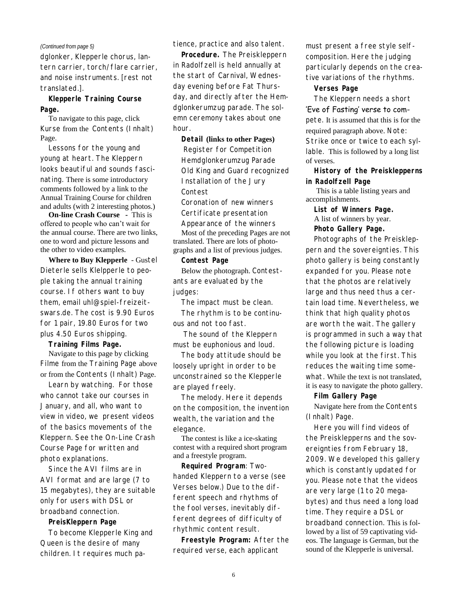#### *(Continued from page 5)*

dglonker, Klepperle chorus, lantern carrier, torch/flare carrier, and noise instruments. [rest not translated.].

**Klepperle Training Course Page.** 

To navigate to this page, click Kurse from the Contents (Inhalt) Page.

Lessons for the young and young at heart. The Kleppern looks beautiful and sounds fascinating. There is some introductory comments followed by a link to the Annual Training Course for children and adults (with 2 interesting photos.)

**On-line Crash Course -** This is offered to people who can't wait for the annual course. There are two links, one to word and picture lessons and the other to video examples.

**Where to Buy Klepperle** - Gustel Dieterle sells Klelpperle to people taking the annual training course. If others want to buy them, email uhl@spiel-freizeitswars.de. The cost is 9.90 Euros for 1 pair, 19.80 Euros for two plus 4.50 Euros shipping.

**Training Films Page.**

Navigate to this page by clicking Filme from the Training Page above or from the Contents (Inhalt) Page.

Learn by watching. For those who cannot take our courses in January, and all, who want to view in video, we present videos of the basics movements of the Kleppern. See the On-Line Crash Course Page for written and photo explanations.

Since the AVI films are in AVI format and are large (7 to 15 megabytes), they are suitable only for users with DSL or broadband connection.

**PreisKleppern Page**

To become Klepperle King and Queen is the desire of many children. It requires much patience, practice and also talent.

**Procedure.** The Preiskleppern in Radolfzell is held annually at the start of Carnival, Wednesday evening before Fat Thursday, and directly after the Hemdglonkerumzug parade. The solemn ceremony takes about one hour.

**Detail (links to other Pages)** Register for Competition Hemdglonkerumzug Parade Old King and Guard recognized Installation of the Jury Contest Coronation of new winners Certificate presentation

Appearance of the winners Most of the preceding Pages are not translated. There are lots of photo-

graphs and a list of previous judges. **Contest Page**

Below the photograph. Contestants are evaluated by the judges:

The impact must be clean. The rhythm is to be continuous and not too fast.

The sound of the Kleppern must be euphonious and loud.

The body attitude should be loosely upright in order to be unconstrained so the Klepperle are played freely.

The melody. Here it depends on the composition, the invention wealth, the variation and the elegance.

The contest is like a ice-skating contest with a required short program and a freestyle program.

**Required Program**: Twohanded Kleppern to a verse (see Verses below.) Due to the different speech and rhythms of the fool verses, inevitably different degrees of difficulty of rhythmic content result.

**Freestyle Program:** After the required verse, each applicant

must present a free style selfcomposition. Here the judging particularly depends on the creative variations of the rhythms.

**Verses Page**

The Kleppern needs a short 'Eve of Fasting' verse to compete. It is assumed that this is for the required paragraph above. Note: Strike once or twice to each syllable. This is followed by a long list

of verses.

**History of the Preisklepperns in Radolfzell Page**

This is a table listing years and accomplishments.

**List of Winners Page.**  A list of winners by year. **Photo Gallery Page.** 

Photographs of the Preiskleppern and the sovereignties. This photo gallery is being constantly expanded for you. Please note that the photos are relatively large and thus need thus a certain load time. Nevertheless, we think that high quality photos are worth the wait. The gallery is programmed in such a way that the following picture is loading while you look at the first. This reduces the waiting time somewhat. While the text is not translated. it is easy to navigate the photo gallery.

**Film Gallery Page** 

Navigate here from the Contents (Inhalt) Page.

Here you will find videos of the Preisklepperns and the sovereignties from February 18, 2009. We developed this gallery which is constantly updated for you. Please note that the videos are very large (1 to 20 megabytes) and thus need a long load time. They require a DSL or broadband connection. This is followed by a list of 59 captivating videos. The language is German, but the sound of the Klepperle is universal.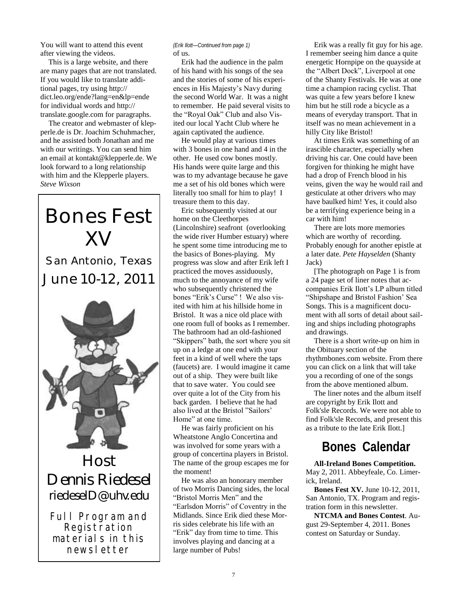You will want to attend this event after viewing the videos.

This is a large website, and there are many pages that are not translated. If you would like to translate additional pages, try using http:// dict.leo.org/ende?lang=en&lp=ende for individual words and http:// translate.google.com for paragraphs.

The creator and webmaster of klepperle.de is Dr. Joachim Schuhmacher, and he assisted both Jonathan and me with our writings. You can send him an email at kontakt@klepperle.de. We look forward to a long relationship with him and the Klepperle players. *Steve Wixson*

# **XV** San Antonio, Texas June 10-12, 2011

**Bones Fest** 



Host Dennis Riedesel riedeselD@uhv.edu

Full Program and Registration materials in this newsletter

#### of us. *(Erik Ilott—Continued from page 1)*

Erik had the audience in the palm of his hand with his songs of the sea and the stories of some of his experiences in His Majesty's Navy during the second World War. It was a night to remember. He paid several visits to the "Royal Oak" Club and also Visited our local Yacht Club where he again captivated the audience.

He would play at various times with 3 bones in one hand and 4 in the other. He used cow bones mostly. His hands were quite large and this was to my advantage because he gave me a set of his old bones which were literally too small for him to play! I treasure them to this day.

Eric subsequently visited at our home on the Cleethorpes (Lincolnshire) seafront (overlooking the wide river Humber estuary) where he spent some time introducing me to the basics of Bones-playing. My progress was slow and after Erik left I practiced the moves assiduously, much to the annoyance of my wife who subsequently christened the bones "Erik's Curse" ! We also visited with him at his hillside home in Bristol. It was a nice old place with one room full of books as I remember. The bathroom had an old-fashioned "Skippers" bath, the sort where you sit up on a ledge at one end with your feet in a kind of well where the taps (faucets) are. I would imagine it came out of a ship. They were built like that to save water. You could see over quite a lot of the City from his back garden. I believe that he had also lived at the Bristol "Sailors" Home" at one time.

He was fairly proficient on his Wheatstone Anglo Concertina and was involved for some years with a group of concertina players in Bristol. The name of the group escapes me for the moment!

He was also an honorary member of two Morris Dancing sides, the local "Bristol Morris Men" and the ―Earlsdon Morris‖ of Coventry in the Midlands. Since Erik died these Morris sides celebrate his life with an "Erik" day from time to time. This involves playing and dancing at a large number of Pubs!

Erik was a really fit guy for his age. I remember seeing him dance a quite energetic Hornpipe on the quayside at the "Albert Dock", Liverpool at one of the Shanty Festivals. He was at one time a champion racing cyclist. That was quite a few years before I knew him but he still rode a bicycle as a means of everyday transport. That in itself was no mean achievement in a hilly City like Bristol!

At times Erik was something of an irascible character, especially when driving his car. One could have been forgiven for thinking he might have had a drop of French blood in his veins, given the way he would rail and gesticulate at other drivers who may have baulked him! Yes, it could also be a terrifying experience being in a car with him!

There are lots more memories which are worthy of recording. Probably enough for another epistle at a later date. *Pete Hayselden* (Shanty Jack)

[The photograph on Page 1 is from a 24 page set of liner notes that accompanies Erik Ilott's LP album titled ―Shipshape and Bristol Fashion' Sea Songs. This is a magnificent document with all sorts of detail about sailing and ships including photographs and drawings.

There is a short write-up on him in the Obituary section of the rhythmbones.com website. From there you can click on a link that will take you a recording of one of the songs from the above mentioned album.

The liner notes and the album itself are copyright by Erik Ilott and Folk'sle Records. We were not able to find Folk'sle Records, and present this as a tribute to the late Erik Ilott.]

### **Bones Calendar**

**All-Ireland Bones Competition.**  May 2, 2011. Abbeyfeale, Co. Limerick, Ireland.

**Bones Fest XV.** June 10-12, 2011, San Antonio, TX. Program and registration form in this newsletter.

**NTCMA and Bones Contest**. August 29-September 4, 2011. Bones contest on Saturday or Sunday.